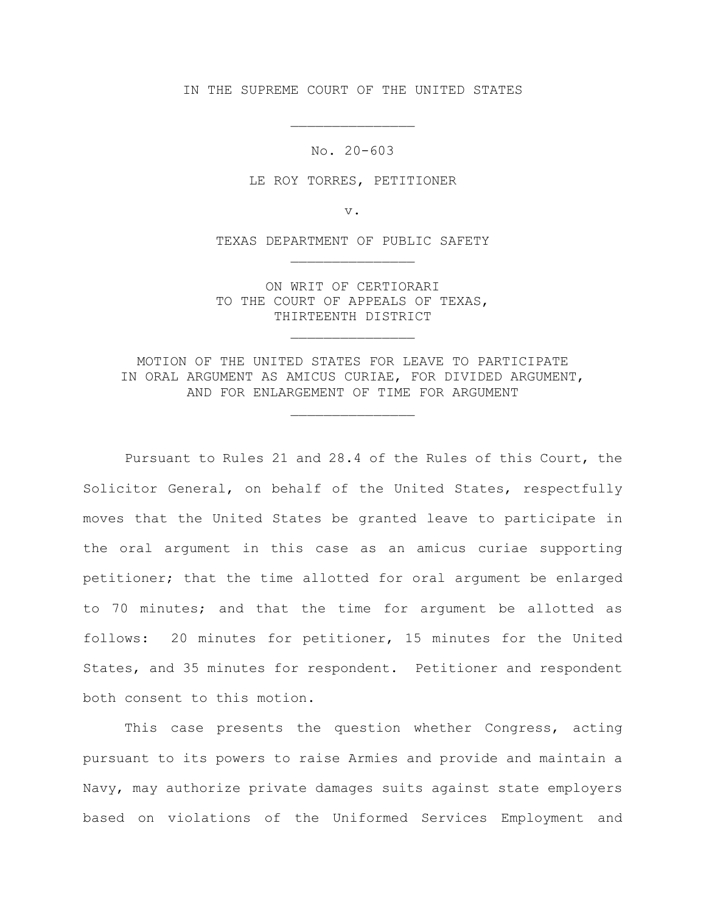IN THE SUPREME COURT OF THE UNITED STATES

No. 20-603

\_\_\_\_\_\_\_\_\_\_\_\_\_\_\_

LE ROY TORRES, PETITIONER

v.

TEXAS DEPARTMENT OF PUBLIC SAFETY \_\_\_\_\_\_\_\_\_\_\_\_\_\_\_

ON WRIT OF CERTIORARI TO THE COURT OF APPEALS OF TEXAS, THIRTEENTH DISTRICT

\_\_\_\_\_\_\_\_\_\_\_\_\_\_\_

MOTION OF THE UNITED STATES FOR LEAVE TO PARTICIPATE IN ORAL ARGUMENT AS AMICUS CURIAE, FOR DIVIDED ARGUMENT, AND FOR ENLARGEMENT OF TIME FOR ARGUMENT

\_\_\_\_\_\_\_\_\_\_\_\_\_\_\_

Pursuant to Rules 21 and 28.4 of the Rules of this Court, the Solicitor General, on behalf of the United States, respectfully moves that the United States be granted leave to participate in the oral argument in this case as an amicus curiae supporting petitioner; that the time allotted for oral argument be enlarged to 70 minutes; and that the time for argument be allotted as follows: 20 minutes for petitioner, 15 minutes for the United States, and 35 minutes for respondent. Petitioner and respondent both consent to this motion.

This case presents the question whether Congress, acting pursuant to its powers to raise Armies and provide and maintain a Navy, may authorize private damages suits against state employers based on violations of the Uniformed Services Employment and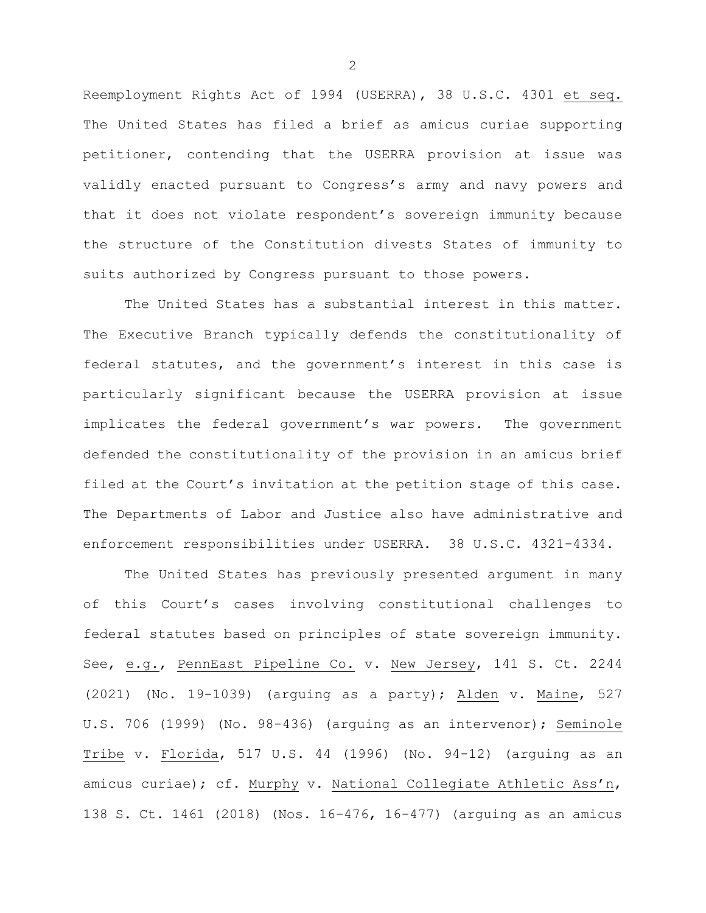Reemployment Rights Act of 1994 (USERRA), 38 U.S.C. 4301 et seq. The United States has filed a brief as amicus curiae supporting petitioner, contending that the USERRA provision at issue was validly enacted pursuant to Congress's army and navy powers and that it does not violate respondent's sovereign immunity because the structure of the Constitution divests States of immunity to suits authorized by Congress pursuant to those powers.

The United States has a substantial interest in this matter. The Executive Branch typically defends the constitutionality of federal statutes, and the government's interest in this case is particularly significant because the USERRA provision at issue implicates the federal government's war powers. The government defended the constitutionality of the provision in an amicus brief filed at the Court's invitation at the petition stage of this case. The Departments of Labor and Justice also have administrative and enforcement responsibilities under USERRA. 38 U.S.C. 4321-4334.

The United States has previously presented argument in many of this Court's cases involving constitutional challenges to federal statutes based on principles of state sovereign immunity. See, e.g., PennEast Pipeline Co. v. New Jersey, 141 S. Ct. 2244 (2021) (No. 19-1039) (arguing as a party); Alden v. Maine, 527 U.S. 706 (1999) (No. 98-436) (arguing as an intervenor); Seminole Tribe v. Florida, 517 U.S. 44 (1996) (No. 94-12) (arguing as an amicus curiae); cf. Murphy v. National Collegiate Athletic Ass'n, 138 S. Ct. 1461 (2018) (Nos. 16-476, 16-477) (arguing as an amicus

 $\mathcal{P}$